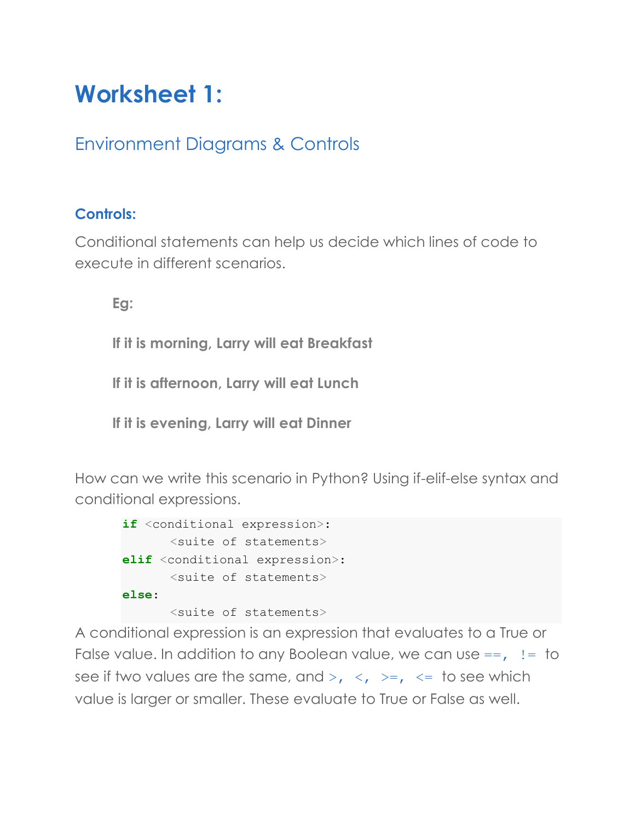# **Worksheet 1:**

# Environment Diagrams & Controls

# **Controls:**

Conditional statements can help us decide which lines of code to execute in different scenarios.

**Eg:** 

**If it is morning, Larry will eat Breakfast**

**If it is afternoon, Larry will eat Lunch**

**If it is evening, Larry will eat Dinner**

How can we write this scenario in Python? Using if-elif-else syntax and conditional expressions.

| if <conditional expression="">:</conditional>   |                                     |  |  |  |  |  |
|-------------------------------------------------|-------------------------------------|--|--|--|--|--|
|                                                 | <suite of="" statements=""></suite> |  |  |  |  |  |
| elif <conditional expression="">:</conditional> |                                     |  |  |  |  |  |
|                                                 | <suite of="" statements=""></suite> |  |  |  |  |  |
| else:                                           |                                     |  |  |  |  |  |
|                                                 | <suite of="" statements=""></suite> |  |  |  |  |  |

A conditional expression is an expression that evaluates to a True or False value. In addition to any Boolean value, we can use  $==$ ,  $!=$  to see if two values are the same, and  $>$ ,  $\lt$ ,  $>$ =,  $\lt$ = to see which value is larger or smaller. These evaluate to True or False as well.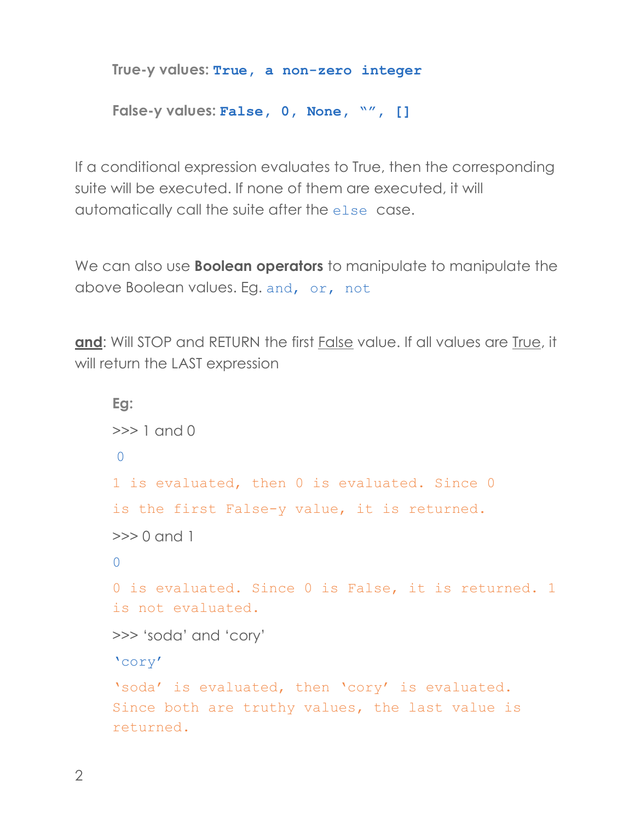```
True-y values: True, a non-zero integer
```

```
False-y values: False, 0, None, "", []
```
If a conditional expression evaluates to True, then the corresponding suite will be executed. If none of them are executed, it will automatically call the suite after the else case.

We can also use **Boolean operators** to manipulate to manipulate the above Boolean values. Eg. and, or, not

**and**: Will STOP and RETURN the first False value. If all values are True, it will return the LAST expression

```
Eg:
\gg 1 and 0
\bigcap1 is evaluated, then 0 is evaluated. Since 0
is the first False-y value, it is returned.
>> 0 and 1
\cap0 is evaluated. Since 0 is False, it is returned. 1 
is not evaluated.
>>> 'soda' and 'cory'
'cory' 
'soda' is evaluated, then 'cory' is evaluated. 
Since both are truthy values, the last value is 
returned.
```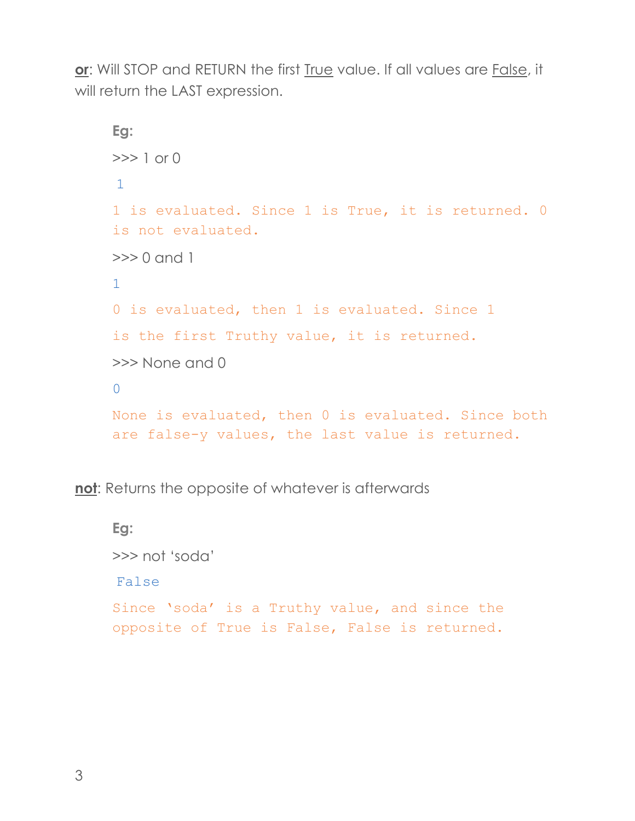**or**: Will STOP and RETURN the first True value. If all values are False, it will return the LAST expression.

```
Eg:
>> 1 or 0
1
1 is evaluated. Since 1 is True, it is returned. 0
is not evaluated.
>>> 0 and 1
1
0 is evaluated, then 1 is evaluated. Since 1
is the first Truthy value, it is returned.
>>> None and 0
\OmegaNone is evaluated, then 0 is evaluated. Since both 
are false-y values, the last value is returned.
```
**not**: Returns the opposite of whatever is afterwards

```
Eg:
>>> not 'soda'
False 
Since 'soda' is a Truthy value, and since the 
opposite of True is False, False is returned.
```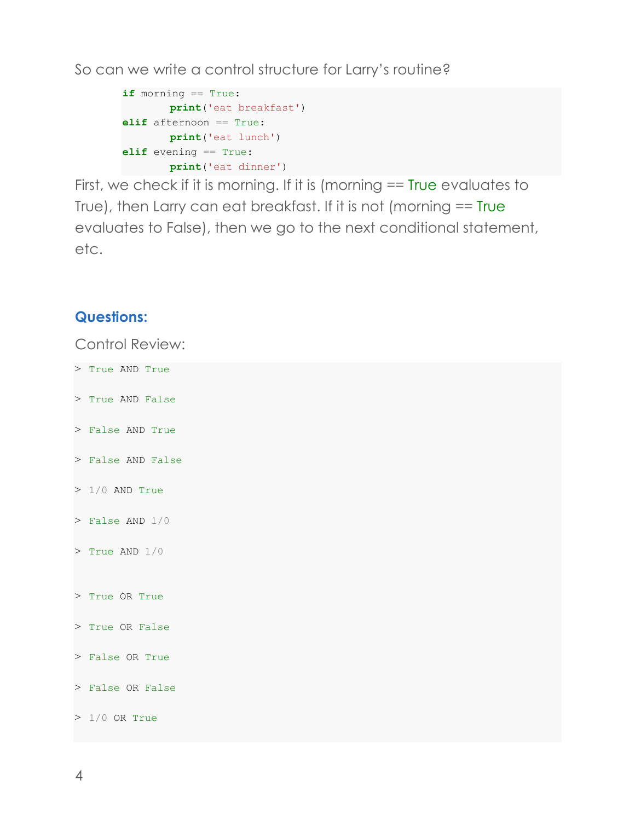So can we write a control structure for Larry's routine?

```
if morning == True:
       print('eat breakfast')
elif afternoon == True:
       print('eat lunch')
elif evening == True:
       print('eat dinner')
```
First, we check if it is morning. If it is (morning == True evaluates to True), then Larry can eat breakfast. If it is not (morning == True evaluates to False), then we go to the next conditional statement, etc.

#### **Questions:**

Control Review:

> True AND True > True AND False > False AND True > False AND False  $> 1/0$  AND True > False AND 1/0 > True AND 1/0 > True OR True > True OR False > False OR True > False OR False > 1/0 OR True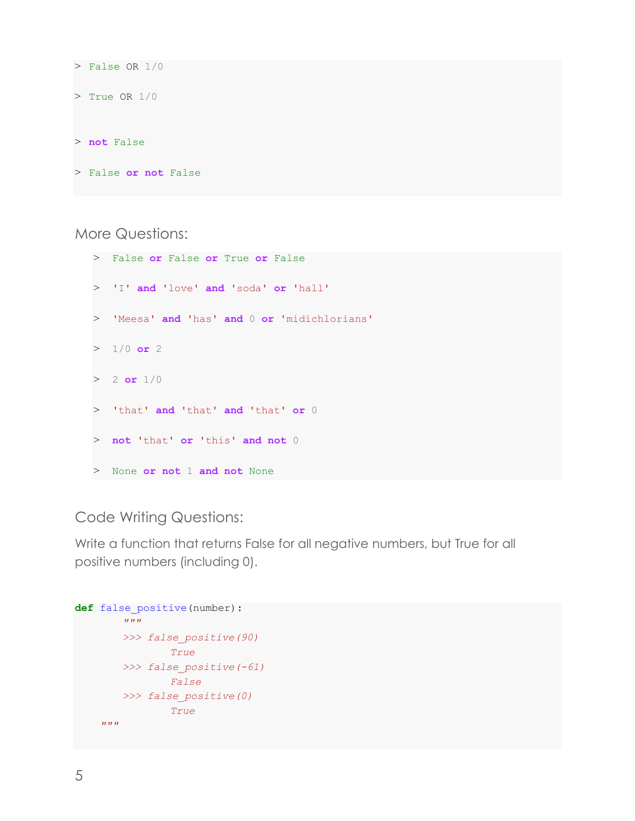```
> False OR 1/0
> True OR 1/0
> not False
> False or not False
```
More Questions:

> False **or** False **or** True **or** False > 'I' **and** 'love' **and** 'soda' **or** 'hall' > 'Meesa' **and** 'has' **and** 0 **or** 'midichlorians'  $> 1/0$  or 2  $> 2$  **or**  $1/0$ > 'that' **and** 'that' **and** 'that' **or** 0 > **not** 'that' **or** 'this' **and not** 0 > None **or not** 1 **and not** None

# Code Writing Questions:

Write a function that returns False for all negative numbers, but True for all positive numbers (including 0).

```
def false_positive(number):
           ^{\prime\prime\prime\prime\prime\prime\prime}>>> false_positive(90)
                      True
           >>> false_positive(-61)
                     False
          >>> false_positive(0)
                      True 
      n \, m \, n
```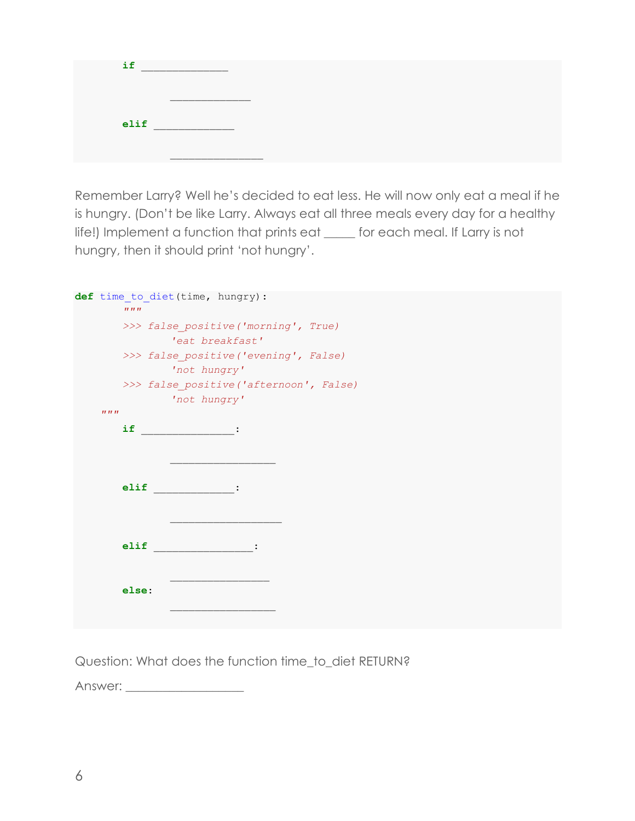| if   |  |  |
|------|--|--|
|      |  |  |
| elif |  |  |
|      |  |  |

Remember Larry? Well he's decided to eat less. He will now only eat a meal if he is hungry. (Don't be like Larry. Always eat all three meals every day for a healthy life!) Implement a function that prints eat \_\_\_\_\_ for each meal. If Larry is not hungry, then it should print 'not hungry'.

| def time to diet (time, hungry) :<br>IIIIII     |
|-------------------------------------------------|
| >>> false positive ('morning', True)            |
| 'eat breakfast'                                 |
|                                                 |
| >>> false positive ('evening', False)           |
| 'not hungry'                                    |
| >>> false positive ('afternoon', False)         |
| 'not hungry'                                    |
| IIIIII                                          |
| if.<br><b><i>Contract Contract Contract</i></b> |
|                                                 |
|                                                 |
|                                                 |
|                                                 |
| elif<br>$\sim 10^{11}$ and $\sim 10^{11}$ .     |
|                                                 |
|                                                 |
|                                                 |
| elif                                            |
|                                                 |
|                                                 |
|                                                 |
| else:                                           |
|                                                 |
|                                                 |

Question: What does the function time\_to\_diet RETURN?

Answer: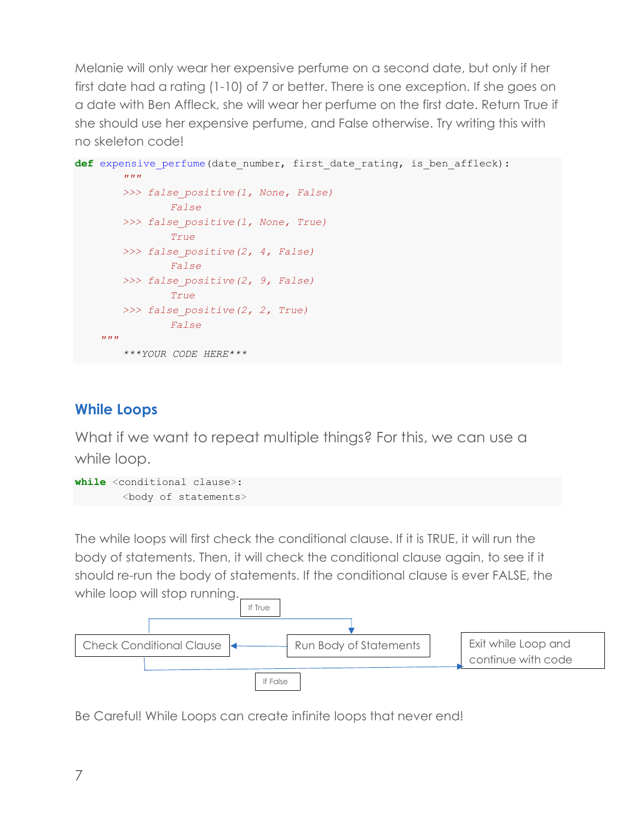Melanie will only wear her expensive perfume on a second date, but only if her first date had a rating (1-10) of 7 or better. There is one exception. If she goes on a date with Ben Affleck, she will wear her perfume on the first date. Return True if she should use her expensive perfume, and False otherwise. Try writing this with no skeleton code!

```
def expensive perfume(date number, first date rating, is ben affleck):
         """
         >>> false_positive(1, None, False)
                  False
         >>> false_positive(1, None, True)
                  True
         >>> false_positive(2, 4, False)
                   False
          >>> false_positive(2, 9, False)
                   True
          >>> false_positive(2, 2, True)
                   False
     \boldsymbol{u} \boldsymbol{u} \boldsymbol{n}***YOUR CODE HERE***
```
# **While Loops**

What if we want to repeat multiple things? For this, we can use a while loop.

```
while <conditional clause>: 
        <body of statements>
```
The while loops will first check the conditional clause. If it is TRUE, it will run the body of statements. Then, it will check the conditional clause again, to see if it should re-run the body of statements. If the conditional clause is ever FALSE, the while loop will stop running.



Be Careful! While Loops can create infinite loops that never end!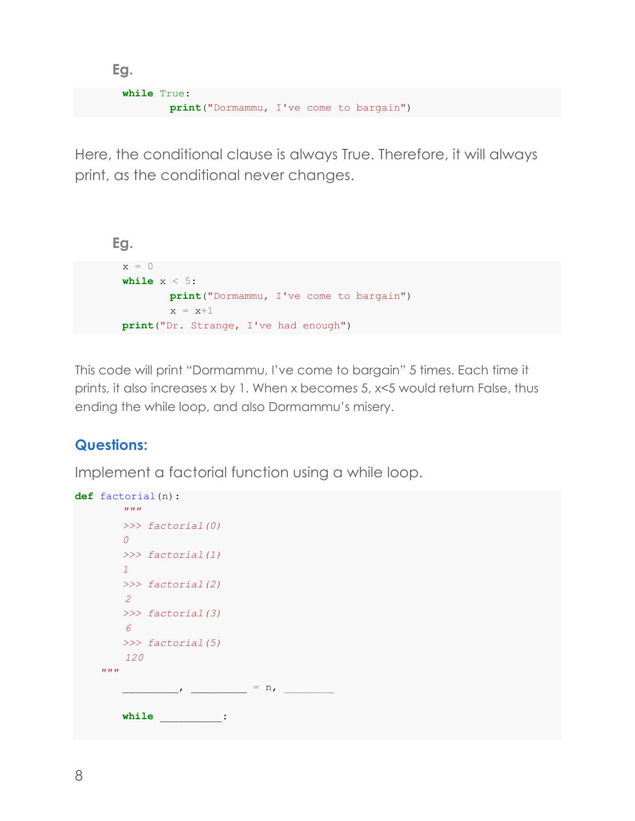```
Eg.
 while True: 
         print("Dormammu, I've come to bargain")
```
Here, the conditional clause is always True. Therefore, it will always print, as the conditional never changes.

```
Eg.
 x = 0while x < 5: 
         print("Dormammu, I've come to bargain")
         x = x+1print("Dr. Strange, I've had enough")
```
This code will print "Dormammu, I've come to bargain" 5 times. Each time it prints, it also increases x by 1. When x becomes 5, x<5 would return False, thus ending the while loop, and also Dormammu's misery.

# **Questions:**

Implement a factorial function using a while loop.

```
def factorial(n):
           ^{\prime\prime\prime\prime\prime\prime\prime}>>> factorial(0)
          0
          >>> factorial(1)
          1
          >>> factorial(2)
            2
           >>> factorial(3)
            6
           >>> factorial(5)
            120
      n \, n \, n_________, _________ = n, ________
          while __________:
```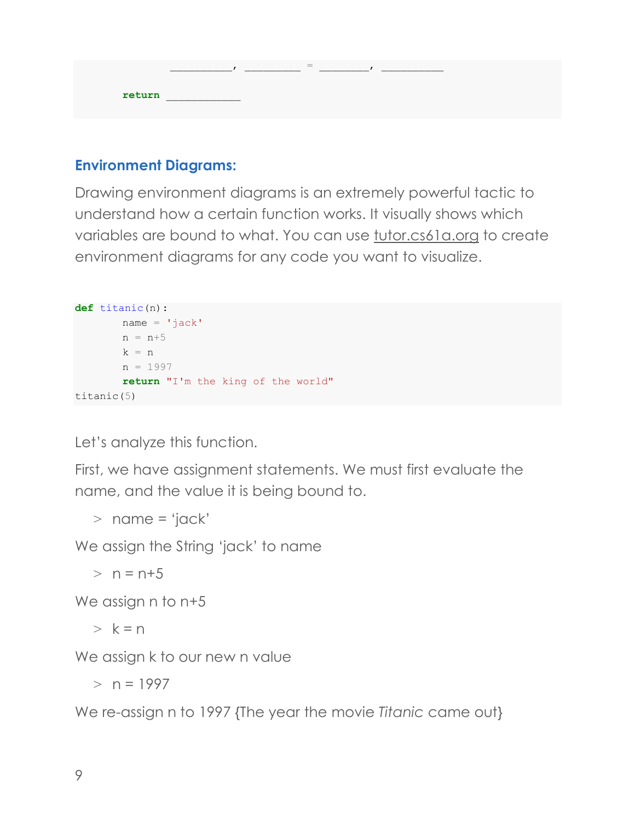|        | -<br>$\overline{\phantom{a}}$ |  |
|--------|-------------------------------|--|
| return |                               |  |

# **Environment Diagrams:**

Drawing environment diagrams is an extremely powerful tactic to understand how a certain function works. It visually shows which variables are bound to what. You can use tutor.cs61a.org to create environment diagrams for any code you want to visualize.

```
def titanic(n):
       name = 'jack'n = n+5k = nn = 1997return "I'm the king of the world"
titanic(5)
```
Let's analyze this function.

First, we have assignment statements. We must first evaluate the name, and the value it is being bound to.

 $>$  name = 'jack'

We assign the String 'jack' to name

 $> n = n+5$ 

We assign n to n+5

 $> k = n$ 

We assign k to our new n value

 $> n = 1997$ 

We re-assign n to 1997 {The year the movie *Titanic* came out}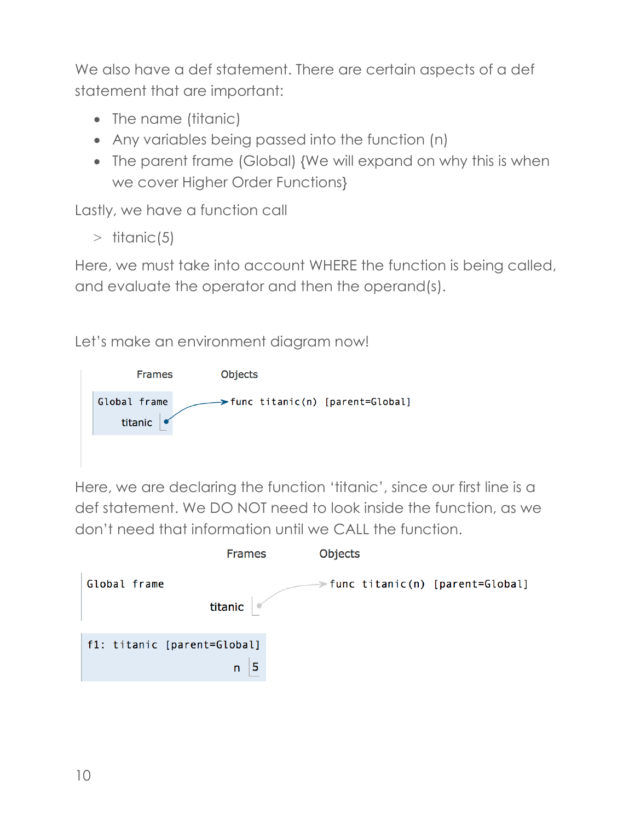We also have a def statement. There are certain aspects of a def statement that are important:

- The name (titanic)
- Any variables being passed into the function (n)
- The parent frame (Global) {We will expand on why this is when we cover Higher Order Functions}

Lastly, we have a function call

 $>$  titanic(5)

Here, we must take into account WHERE the function is being called, and evaluate the operator and then the operand(s).

Let's make an environment diagram now!



Here, we are declaring the function 'titanic', since our first line is a def statement. We DO NOT need to look inside the function, as we don't need that information until we CALL the function.

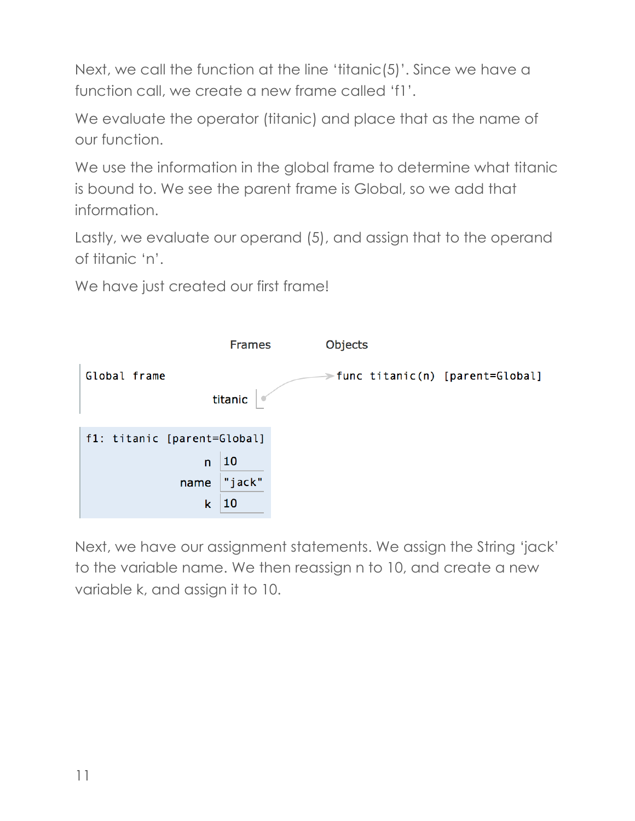Next, we call the function at the line 'titanic(5)'. Since we have a function call, we create a new frame called 'f1'.

We evaluate the operator (titanic) and place that as the name of our function.

We use the information in the global frame to determine what titanic is bound to. We see the parent frame is Global, so we add that information.

Lastly, we evaluate our operand (5), and assign that to the operand of titanic 'n'.

We have just created our first frame!



Next, we have our assignment statements. We assign the String 'jack' to the variable name. We then reassign n to 10, and create a new variable k, and assign it to 10.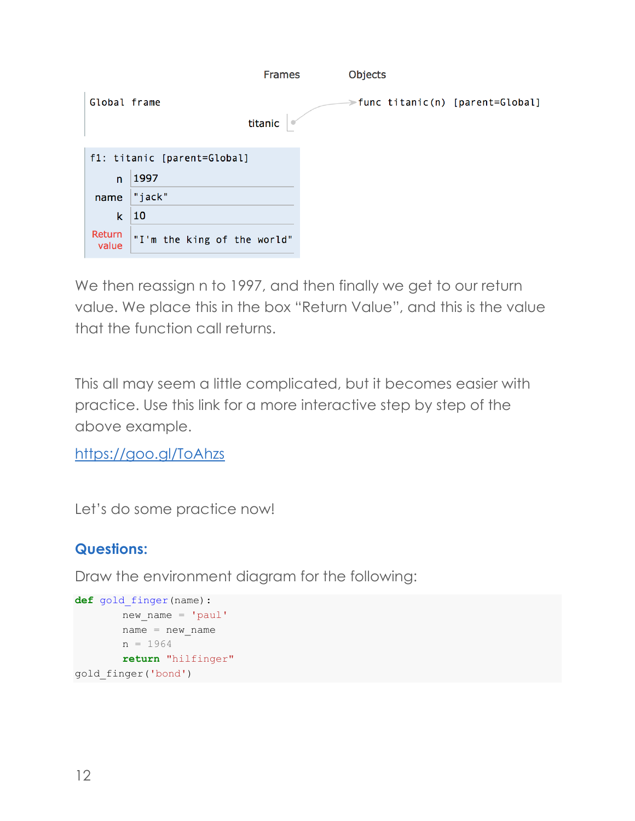|                 |                             | <b>Frames</b> | <b>Objects</b> |                                  |
|-----------------|-----------------------------|---------------|----------------|----------------------------------|
| Global frame    |                             |               |                | ⇒func titanic(n) [parent=Global] |
|                 |                             | titanic       |                |                                  |
|                 | f1: titanic [parent=Global] |               |                |                                  |
| $\mathsf{n}$    | 1997                        |               |                |                                  |
| name            | "jack"                      |               |                |                                  |
| k               | 10                          |               |                |                                  |
| Return<br>value | "I'm the king of the world" |               |                |                                  |

We then reassign n to 1997, and then finally we get to our return value. We place this in the box "Return Value", and this is the value that the function call returns.

This all may seem a little complicated, but it becomes easier with practice. Use this link for a more interactive step by step of the above example.

https://goo.gl/ToAhzs

Let's do some practice now!

# **Questions:**

Draw the environment diagram for the following:

```
def gold_finger(name):
       new name = 'paul'
       name = new namen = 1964
       return "hilfinger"
gold_finger('bond')
```